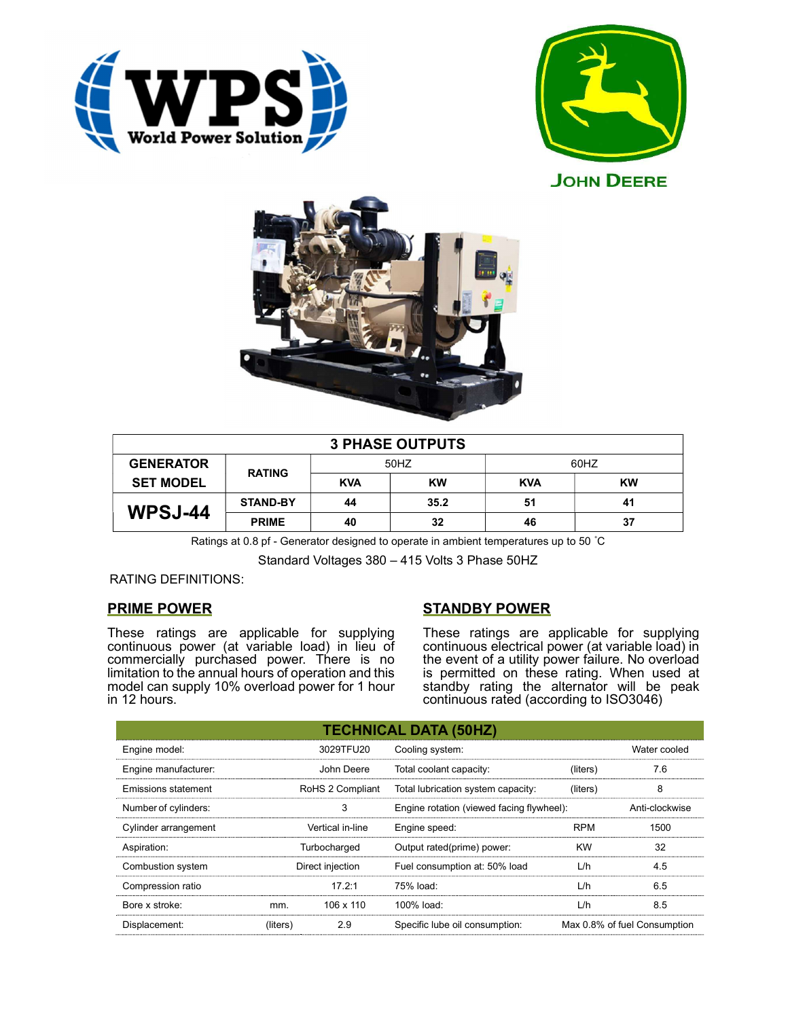





| <b>3 PHASE OUTPUTS</b> |                 |            |           |            |           |  |  |
|------------------------|-----------------|------------|-----------|------------|-----------|--|--|
| <b>GENERATOR</b>       | <b>RATING</b>   | 50HZ       |           | 60HZ       |           |  |  |
| <b>SET MODEL</b>       |                 | <b>KVA</b> | <b>KW</b> | <b>KVA</b> | <b>KW</b> |  |  |
| WPSJ-44                | <b>STAND-BY</b> | 44         | 35.2      | 51         | 41        |  |  |
|                        | <b>PRIME</b>    | 40         | 32        | 46         | 37        |  |  |

Ratings at 0.8 pf - Generator designed to operate in ambient temperatures up to 50 °C

Standard Voltages 380 – 415 Volts 3 Phase 50HZ

# RATING DEFINITIONS:

# PRIME POWER

These ratings are applicable for supplying continuous power (at variable load) in lieu of commercially purchased power. There is no limitation to the annual hours of operation and this model can supply 10% overload power for 1 hour in 12 hours.

# STANDBY POWER

These ratings are applicable for supplying continuous electrical power (at variable load) in the event of a utility power failure. No overload is permitted on these rating. When used at standby rating the alternator will be peak continuous rated (according to ISO3046)

| <b>TECHNICAL DATA (50HZ)</b> |                  |                  |                                           |            |                              |  |  |
|------------------------------|------------------|------------------|-------------------------------------------|------------|------------------------------|--|--|
| Engine model:                |                  | 3029TFU20        | Cooling system:                           |            | Water cooled                 |  |  |
| Engine manufacturer:         |                  | John Deere       | Total coolant capacity:                   | (liters)   | 7.6                          |  |  |
| Emissions statement          |                  | RoHS 2 Compliant | Total lubrication system capacity:        | (liters)   | 8                            |  |  |
| Number of cylinders:         | 3                |                  | Engine rotation (viewed facing flywheel): |            | Anti-clockwise               |  |  |
| Cylinder arrangement         | Vertical in-line |                  | Engine speed:                             | <b>RPM</b> | 1500                         |  |  |
| Aspiration:                  | Turbocharged     |                  | Output rated(prime) power:                | <b>KW</b>  | 32                           |  |  |
| Combustion system            | Direct injection |                  | Fuel consumption at: 50% load             | L/h        | 4.5                          |  |  |
| Compression ratio            |                  | $17.2 \cdot 1$   | 75% load:                                 | L/h        | 6.5                          |  |  |
| Bore x stroke:               | mm.              | 106 x 110        | 100% load:                                | L/h        | 8.5                          |  |  |
| Displacement:                | (liters)         | 2.9              | Specific lube oil consumption:            |            | Max 0.8% of fuel Consumption |  |  |